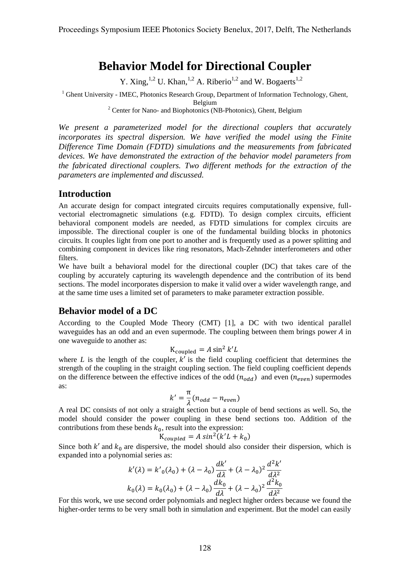# **Behavior Model for Directional Coupler**

Y. Xing,  $^{1,2}$  U. Khan,  $^{1,2}$  A. Riberio<sup>1,2</sup> and W. Bogaerts<sup>1,2</sup>

<sup>1</sup> Ghent University - IMEC, Photonics Research Group, Department of Information Technology, Ghent, Belgium

<sup>2</sup> Center for Nano- and Biophotonics (NB-Photonics), Ghent, Belgium

*We present a parameterized model for the directional couplers that accurately incorporates its spectral dispersion. We have verified the model using the Finite Difference Time Domain (FDTD) simulations and the measurements from fabricated devices. We have demonstrated the extraction of the behavior model parameters from the fabricated directional couplers. Two different methods for the extraction of the parameters are implemented and discussed.*

#### **Introduction**

An accurate design for compact integrated circuits requires computationally expensive, fullvectorial electromagnetic simulations (e.g. FDTD). To design complex circuits, efficient behavioral component models are needed, as FDTD simulations for complex circuits are impossible. The directional coupler is one of the fundamental building blocks in photonics circuits. It couples light from one port to another and is frequently used as a power splitting and combining component in devices like ring resonators, Mach-Zehnder interferometers and other filters.

We have built a behavioral model for the directional coupler (DC) that takes care of the coupling by accurately capturing its wavelength dependence and the contribution of its bend sections. The model incorporates dispersion to make it valid over a wider wavelength range, and at the same time uses a limited set of parameters to make parameter extraction possible.

## **Behavior model of a DC**

According to the Coupled Mode Theory (CMT) [1], a DC with two identical parallel waveguides has an odd and an even supermode. The coupling between them brings power  $A$  in one waveguide to another as:

$$
K_{\text{coupled}} = A \sin^2 k' L
$$

where *L* is the length of the coupler,  $k'$  is the field coupling coefficient that determines the strength of the coupling in the straight coupling section. The field coupling coefficient depends on the difference between the effective indices of the odd  $(n_{odd})$  and even  $(n_{even})$  supermodes as:

$$
k' = \frac{\pi}{\lambda} (n_{odd} - n_{even})
$$

A real DC consists of not only a straight section but a couple of bend sections as well. So, the model should consider the power coupling in these bend sections too. Addition of the contributions from these bends  $k_0$ , result into the expression:

$$
K_{coupled} = A \sin^2(k'L + k_0)
$$

Since both  $k'$  and  $k_0$  are dispersive, the model should also consider their dispersion, which is expanded into a polynomial series as:

$$
k'(\lambda) = k'_{0}(\lambda_{0}) + (\lambda - \lambda_{0})\frac{dk'}{d\lambda} + (\lambda - \lambda_{0})^{2}\frac{d^{2}k'}{d\lambda^{2}}
$$

$$
k_{0}(\lambda) = k_{0}(\lambda_{0}) + (\lambda - \lambda_{0})\frac{dk_{0}}{d\lambda} + (\lambda - \lambda_{0})^{2}\frac{d^{2}k_{0}}{d\lambda^{2}}
$$

For this work, we use second order polynomials and neglect higher orders because we found the higher-order terms to be very small both in simulation and experiment. But the model can easily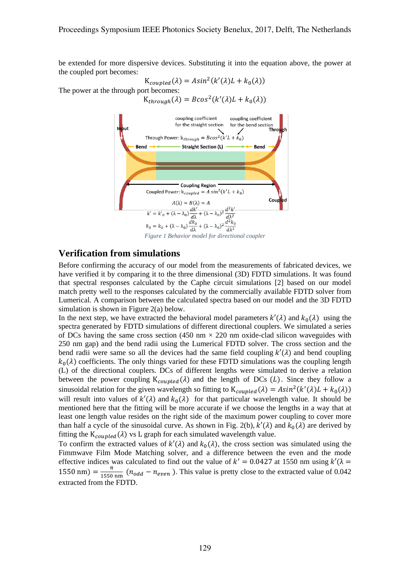be extended for more dispersive devices. Substituting it into the equation above, the power at the coupled port becomes:

$$
K_{coupled}(\lambda) = Asin^{2}(k'(\lambda)L + k_{0}(\lambda))
$$

The power at the through port becomes:

 $K_{through}(\lambda) = Bcos^2(k'(\lambda)L + k_0(\lambda))$ 



#### **Verification from simulations**

Before confirming the accuracy of our model from the measurements of fabricated devices, we have verified it by comparing it to the three dimensional (3D) FDTD simulations. It was found that spectral responses calculated by the Caphe circuit simulations [2] based on our model match pretty well to the responses calculated by the commercially available FDTD solver from Lumerical. A comparison between the calculated spectra based on our model and the 3D FDTD simulation is shown in Figure 2(a) below.

In the next step, we have extracted the behavioral model parameters  $k'(\lambda)$  and  $k_0(\lambda)$  using the spectra generated by FDTD simulations of different directional couplers. We simulated a series of DCs having the same cross section (450 nm  $\times$  220 nm oxide-clad silicon waveguides with 250 nm gap) and the bend radii using the Lumerical FDTD solver. The cross section and the bend radii were same so all the devices had the same field coupling  $k'(\lambda)$  and bend coupling  $k_0(\lambda)$  coefficients. The only things varied for these FDTD simulations was the coupling length (L) of the directional couplers. DCs of different lengths were simulated to derive a relation between the power coupling  $K_{coupled}(\lambda)$  and the length of DCs (L). Since they follow a sinusoidal relation for the given wavelength so fitting to  $K_{coupled}(\lambda) = Asin^2(k'(\lambda)L + k_0(\lambda))$ will result into values of  $k'(\lambda)$  and  $k_0(\lambda)$  for that particular wavelength value. It should be mentioned here that the fitting will be more accurate if we choose the lengths in a way that at least one length value resides on the right side of the maximum power coupling to cover more than half a cycle of the sinusoidal curve. As shown in Fig. 2(b),  $\overline{k}'(\lambda)$  and  $\overline{k}_0(\lambda)$  are derived by fitting the  $K_{coupled}(\lambda)$  vs L graph for each simulated wavelength value.

To confirm the extracted values of  $k'(\lambda)$  and  $k_0(\lambda)$ , the cross section was simulated using the Fimmwave Film Mode Matching solver, and a difference between the even and the mode effective indices was calculated to find out the value of  $k' = 0.0427$  at 1550 nm using  $k'(\lambda =$  $1550 \text{ nm}$ ) =  $\frac{\pi}{1550}$  $\frac{n}{1550 \text{ nm}}$  ( $n_{odd} - n_{even}$ ). This value is pretty close to the extracted value of 0.042 extracted from the FDTD.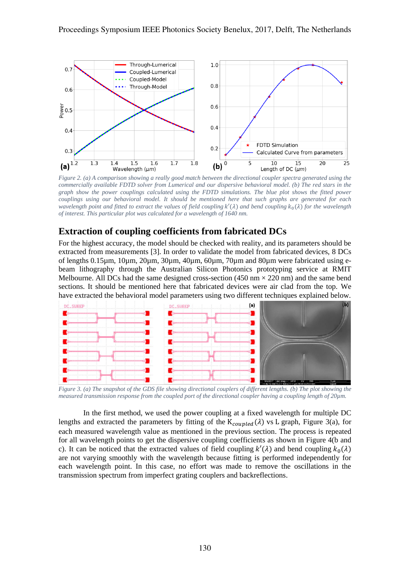

*Figure 2. (a) A comparison showing a really good match between the directional coupler spectra generated using the commercially available FDTD solver from Lumerical and our dispersive behavioral model. (b) The red stars in the graph show the power couplings calculated using the FDTD simulations. The blue plot shows the fitted power couplings using our behavioral model. It should be mentioned here that such graphs are generated for each wavelength point and fitted to extract the values of field coupling*  $k'(\lambda)$  *and bend coupling*  $k_0(\lambda)$  *for the wavelength of interest. This particular plot was calculated for a wavelength of 1640 nm.*

### **Extraction of coupling coefficients from fabricated DCs**

For the highest accuracy, the model should be checked with reality, and its parameters should be extracted from measurements [3]. In order to validate the model from fabricated devices, 8 DCs of lengths 0.15µm, 10µm, 20µm, 30µm, 40µm, 60µm, 70µm and 80µm were fabricated using ebeam lithography through the Australian Silicon Photonics prototyping service at RMIT Melbourne. All DCs had the same designed cross-section  $(450 \text{ nm} \times 220 \text{ nm})$  and the same bend sections. It should be mentioned here that fabricated devices were air clad from the top. We have extracted the behavioral model parameters using two different techniques explained below.



*Figure 3. (a) The snapshot of the GDS file showing directional couplers of different lengths. (b) The plot showing the measured transmission response from the coupled port of the directional coupler having a coupling length of 20µm.*

In the first method, we used the power coupling at a fixed wavelength for multiple DC lengths and extracted the parameters by fitting of the  $K_{coupled}(\lambda)$  vs L graph, Figure 3(a), for each measured wavelength value as mentioned in the previous section. The process is repeated for all wavelength points to get the dispersive coupling coefficients as shown in Figure 4(b and c). It can be noticed that the extracted values of field coupling  $k'(\lambda)$  and bend coupling  $k_0(\lambda)$ are not varying smoothly with the wavelength because fitting is performed independently for each wavelength point. In this case, no effort was made to remove the oscillations in the transmission spectrum from imperfect grating couplers and backreflections.